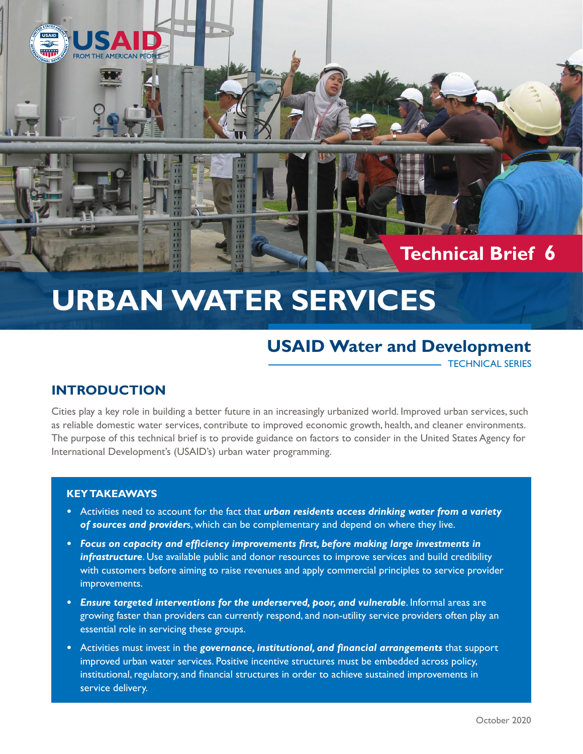# **URBAN WATER SERVICES**

# **USAID Water and Development**

TECHNICAL SERIES

**Technical Brief 6**

# **INTRODUCTION**

Cities play a key role in building a better future in an increasingly urbanized world. Improved urban services, such as reliable domestic water services, contribute to improved economic growth, health, and cleaner environments. The purpose of this technical brief is to provide guidance on factors to consider in the United States Agency for International Development's (USAID's) urban water programming.

## **KEY TAKEAWAYS**

- **•** Activities need to account for the fact that *urban residents access drinking water from a variety of sources and provider*s, which can be complementary and depend on where they live.
- **•** *Focus on capacity and efficiency improvements first, before making large investments in infrastructure*. Use available public and donor resources to improve services and build credibility with customers before aiming to raise revenues and apply commercial principles to service provider improvements.
- **•** *Ensure targeted interventions for the underserved, poor, and vulnerable*. Informal areas are growing faster than providers can currently respond, and non-utility service providers often play an essential role in servicing these groups.
- **•** Activities must invest in the *governance, institutional, and financial arrangements* that support improved urban water services. Positive incentive structures must be embedded across policy, institutional, regulatory, and financial structures in order to achieve sustained improvements in service delivery.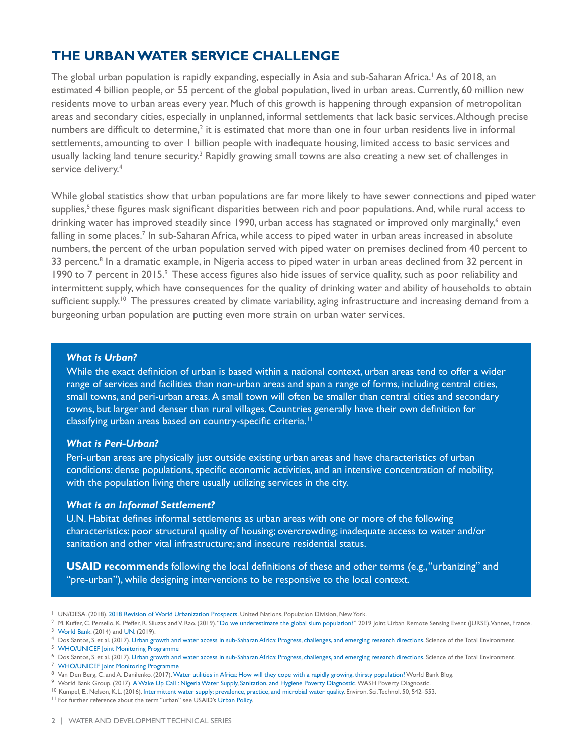# **THE URBAN WATER SERVICE CHALLENGE**

The global urban population is rapidly expanding, especially in Asia and sub-Saharan Africa.<sup>1</sup> As of 2018, an estimated 4 billion people, or 55 percent of the global population, lived in urban areas. Currently, 60 million new residents move to urban areas every year. Much of this growth is happening through expansion of metropolitan areas and secondary cities, especially in unplanned, informal settlements that lack basic services. Although precise numbers are difficult to determine,<sup>2</sup> it is estimated that more than one in four urban residents live in informal settlements, amounting to over 1 billion people with inadequate housing, limited access to basic services and usually lacking land tenure security.<sup>3</sup> Rapidly growing small towns are also creating a new set of challenges in service delivery.<sup>4</sup>

While global statistics show that urban populations are far more likely to have sewer connections and piped water supplies,<sup>5</sup> these figures mask significant disparities between rich and poor populations. And, while rural access to drinking water has improved steadily since 1990, urban access has stagnated or improved only marginally,<sup>6</sup> even falling in some places.<sup>7</sup> In sub-Saharan Africa, while access to piped water in urban areas increased in absolute numbers, the percent of the urban population served with piped water on premises declined from 40 percent to 33 percent.<sup>8</sup> In a dramatic example, in Nigeria access to piped water in urban areas declined from 32 percent in 1990 to 7 percent in 2015.<sup>9</sup> These access figures also hide issues of service quality, such as poor reliability and intermittent supply, which have consequences for the quality of drinking water and ability of households to obtain sufficient supply.<sup>10</sup> The pressures created by climate variability, aging infrastructure and increasing demand from a burgeoning urban population are putting even more strain on urban water services.

#### *What is Urban?*

While the exact definition of urban is based within a national context, urban areas tend to offer a wider range of services and facilities than non-urban areas and span a range of forms, including central cities, small towns, and peri-urban areas. A small town will often be smaller than central cities and secondary towns, but larger and denser than rural villages. Countries generally have their own definition for classifying urban areas based on country-specific criteria.<sup>11</sup>

#### *What is Peri-Urban?*

Peri-urban areas are physically just outside existing urban areas and have characteristics of urban conditions: dense populations, specific economic activities, and an intensive concentration of mobility, with the population living there usually utilizing services in the city.

#### *What is an Informal Settlement?*

U.N. Habitat defines informal settlements as urban areas with one or more of the following characteristics: poor structural quality of housing; overcrowding; inadequate access to water and/or sanitation and other vital infrastructure; and insecure residential status.

**USAID recommends** following the local definitions of these and other terms (e.g., "urbanizing" and "pre-urban"), while designing interventions to be responsive to the local context.

<sup>&</sup>lt;sup>1</sup> UN/DESA. (2018). [2018 Revision of World Urbanization Prospects](https://www.un.org/development/desa/publications/2018-revision-of-world-urbanization-prospects.html#:~:text=Today%2C%2055%25%20of%20the%20world). United Nations, Population Division, New York.

<sup>&</sup>lt;sup>2</sup> M. Kuffer, C. Persello, K. Pfeffer, R. Sliuzas and V. Rao. (2019). "[Do we underestimate the global slum population?"](https://ieeexplore.ieee.org/abstract/document/8809066) 2019 Joint Urban Remote Sensing Event (JURSE), Vannes, France. 3 [World Bank](https://data.worldbank.org/indicator/EN.POP.SLUM.UR.ZS). (2014) and [UN.](https://unstats.un.org/sdgs/report/2019/goal-11/) (2019).

<sup>4</sup> Dos Santos, S. et al. (2017). [Urban growth and water access in sub-Saharan Africa: Progress, challenges, and emerging research directions.](https://www.researchgate.net/publication/318430465_Urban_growth_and_water_access_in_sub-Saharan_Africa_Progress_challenges_and_emerging_research_directions) Science of the Total Environment.<br>5 [WHO/UNICEF Joint Monitoring Programme](http://www.washdata.org)

<sup>6</sup> Dos Santos, S. et al. (2017). [Urban growth and water access in sub-Saharan Africa: Progress, challenges, and emerging research directions.](https://www.researchgate.net/publication/318430465_Urban_growth_and_water_access_in_sub-Saharan_Africa_Progress_challenges_and_emerging_research_directions) Science of the Total Environment. 7 [WHO/UNICEF Joint Monitoring Programme](http://www.washdata.org)

<sup>8</sup> Van Den Berg, C. and A. Danilenko. (2017). [Water utilities in Africa: How will they cope with a rapidly growing, thirsty population?](https://blogs.worldbank.org/water/water-utilities-africa-how-will-they-cope-rapidly-growing-thirsty-population#_ftn1) World Bank Blog.

<sup>&</sup>lt;sup>9</sup> World Bank Group. (2017). [A Wake Up Call : Nigeria Water Supply, Sanitation, and Hygiene Poverty Diagnostic](http://documents1.worldbank.org/curated/en/530431502696926677/pdf/118241-v2-WP-PUBLIC-A-wake-up-call.pdf). WASH Poverty Diagnostic.<br><sup>10</sup> Kumpel, E., Nelson, K.L. (2016). Intermittent water supply: prevalence, practic

<sup>11</sup> For further reference about the term "urban" see USAID's [Urban Policy.](https://urban-links.org/wp-content/uploads/USAIDSustainableUrbanServicesPolicy.pdf)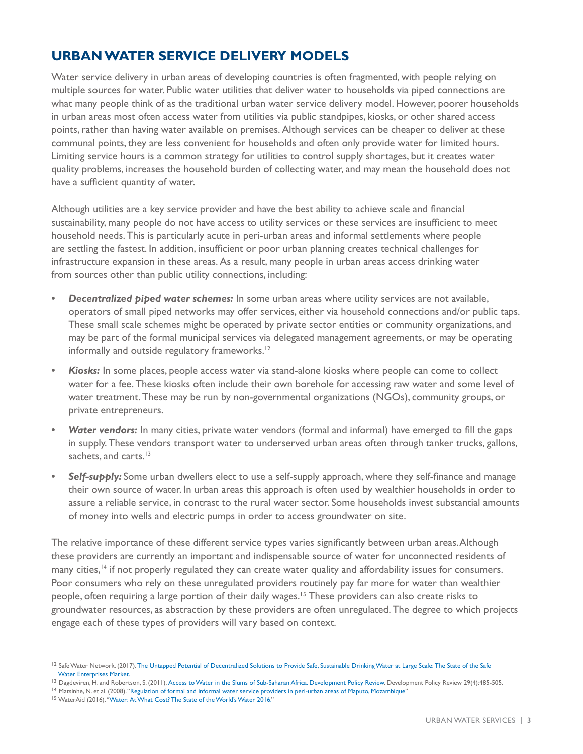# **URBAN WATER SERVICE DELIVERY MODELS**

Water service delivery in urban areas of developing countries is often fragmented, with people relying on multiple sources for water. Public water utilities that deliver water to households via piped connections are what many people think of as the traditional urban water service delivery model. However, poorer households in urban areas most often access water from utilities via public standpipes, kiosks, or other shared access points, rather than having water available on premises. Although services can be cheaper to deliver at these communal points, they are less convenient for households and often only provide water for limited hours. Limiting service hours is a common strategy for utilities to control supply shortages, but it creates water quality problems, increases the household burden of collecting water, and may mean the household does not have a sufficient quantity of water.

Although utilities are a key service provider and have the best ability to achieve scale and financial sustainability, many people do not have access to utility services or these services are insufficient to meet household needs. This is particularly acute in peri-urban areas and informal settlements where people are settling the fastest. In addition, insufficient or poor urban planning creates technical challenges for infrastructure expansion in these areas. As a result, many people in urban areas access drinking water from sources other than public utility connections, including:

- **•** *Decentralized piped water schemes:* In some urban areas where utility services are not available, operators of small piped networks may offer services, either via household connections and/or public taps. These small scale schemes might be operated by private sector entities or community organizations, and may be part of the formal municipal services via delegated management agreements, or may be operating informally and outside regulatory frameworks.<sup>12</sup>
- **•** *Kiosks:* In some places, people access water via stand-alone kiosks where people can come to collect water for a fee. These kiosks often include their own borehole for accessing raw water and some level of water treatment. These may be run by non-governmental organizations (NGOs), community groups, or private entrepreneurs.
- **•** *Water vendors:* In many cities, private water vendors (formal and informal) have emerged to fill the gaps in supply. These vendors transport water to underserved urban areas often through tanker trucks, gallons, sachets, and carts.<sup>13</sup>
- **•** *Self-supply:* Some urban dwellers elect to use a self-supply approach, where they self-finance and manage their own source of water. In urban areas this approach is often used by wealthier households in order to assure a reliable service, in contrast to the rural water sector. Some households invest substantial amounts of money into wells and electric pumps in order to access groundwater on site.

The relative importance of these different service types varies significantly between urban areas. Although these providers are currently an important and indispensable source of water for unconnected residents of many cities,<sup>14</sup> if not properly regulated they can create water quality and affordability issues for consumers. Poor consumers who rely on these unregulated providers routinely pay far more for water than wealthier people, often requiring a large portion of their daily wages.<sup>15</sup> These providers can also create risks to groundwater resources, as abstraction by these providers are often unregulated. The degree to which projects engage each of these types of providers will vary based on context.

<sup>&</sup>lt;sup>12</sup> Safe Water Network. (2017). The Untapped Potential of Decentralized Solutions to Provide Safe, Sustainable Drinking Water at Large Scale: The State of the Safe [Water Enterprises Market.](https://www.safewaternetwork.org/sites/default/files/Dalberg_WaterKioskStudy_SectorReport_Final.pdf)

<sup>&</sup>lt;sup>13</sup> Dagdeviren, H. and Robertson, S. (2011). [Access to Water in the Slums of Sub-Saharan Africa. Development Policy Review.](https://www.researchgate.net/publication/227371961_Access_to_Water_in_the_Slums_of_Sub-Saharan_Africa) Development Policy Review 29(4):485-505.

<sup>14</sup> Matsinhe, N. et al. (2008). "[Regulation of formal and informal water service providers in peri-urban areas of Maputo, Mozambique"](https://www.sciencedirect.com/science/article/pii/S1474706508001630)

<sup>15</sup> WaterAid (2016). "[Water: At What Cost? The State of the World's Water 2016."](https://www.wateraid.org/us/sites/g/files/jkxoof291/files/Water_at_what_cost.pdf)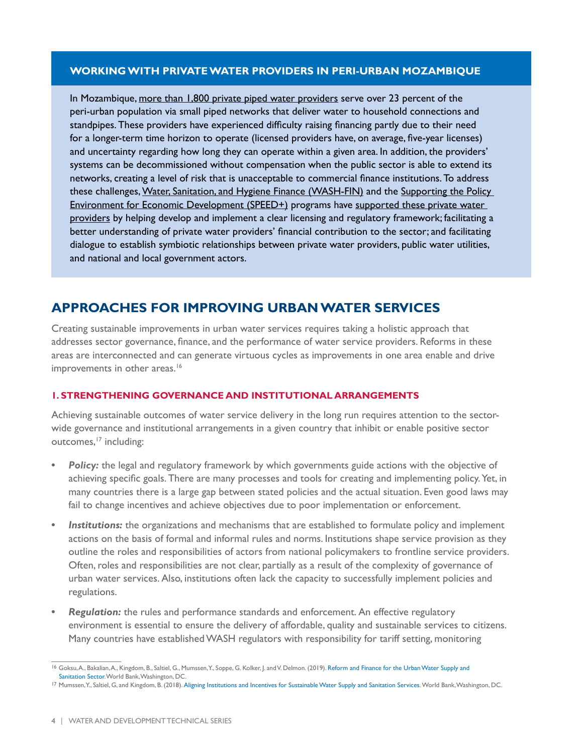## **WORKING WITH PRIVATE WATER PROVIDERS IN PERI-URBAN MOZAMBIQUE**

In Mozambique, [more than 1,800 private piped water providers](http://www.speed-program.com/Water/Licensing-Private-Water-Providers) serve over 23 percent of the peri-urban population via small piped networks that deliver water to household connections and standpipes. These providers have experienced difficulty raising financing partly due to their need for a longer-term time horizon to operate (licensed providers have, on average, five-year licenses) and uncertainty regarding how long they can operate within a given area. In addition, the providers' systems can be decommissioned without compensation when the public sector is able to extend its networks, creating a level of risk that is unacceptable to commercial finance institutions. To address these challenges, [Water, Sanitation, and Hygiene Finance \(WASH-FIN\)](https://microsites.globalwaters.org/WASH-FIN) and the [Supporting the Policy](http://www.speed-program.com/)  [Environment for Economic Development \(SPEED+\)](http://www.speed-program.com/) programs have [supported these private water](https://www.globalwaters.org/resources/blogs/wash-fin/usaid-world-water-week-how-strong-governance-attracts-investment)  [providers](https://www.globalwaters.org/resources/blogs/wash-fin/usaid-world-water-week-how-strong-governance-attracts-investment) by helping develop and implement a clear licensing and regulatory framework; facilitating a better understanding of private water providers' financial contribution to the sector; and facilitating dialogue to establish symbiotic relationships between private water providers, public water utilities, and national and local government actors.

# **APPROACHES FOR IMPROVING URBAN WATER SERVICES**

Creating sustainable improvements in urban water services requires taking a holistic approach that addresses sector governance, finance, and the performance of water service providers. Reforms in these areas are interconnected and can generate virtuous cycles as improvements in one area enable and drive improvements in other areas.<sup>16</sup>

### **1. STRENGTHENING GOVERNANCE AND INSTITUTIONAL ARRANGEMENTS**

Achieving sustainable outcomes of water service delivery in the long run requires attention to the sectorwide governance and institutional arrangements in a given country that inhibit or enable positive sector outcomes,<sup>17</sup> including:

- **•** *Policy:* the legal and regulatory framework by which governments guide actions with the objective of achieving specific goals. There are many processes and tools for creating and implementing policy. Yet, in many countries there is a large gap between stated policies and the actual situation. Even good laws may fail to change incentives and achieve objectives due to poor implementation or enforcement.
- *Institutions:* the organizations and mechanisms that are established to formulate policy and implement actions on the basis of formal and informal rules and norms. Institutions shape service provision as they outline the roles and responsibilities of actors from national policymakers to frontline service providers. Often, roles and responsibilities are not clear, partially as a result of the complexity of governance of urban water services. Also, institutions often lack the capacity to successfully implement policies and regulations.
- **•** *Regulation:* the rules and performance standards and enforcement. An effective regulatory environment is essential to ensure the delivery of affordable, quality and sustainable services to citizens. Many countries have established WASH regulators with responsibility for tariff setting, monitoring

<sup>16</sup> Goksu, A., Bakalian, A., Kingdom, B., Saltiel, G., Mumssen, Y., Soppe, G. Kolker, J. and V. Delmon. (2019). [Reform and Finance for the Urban Water Supply and](https://openknowledge.worldbank.org/handle/10986/32244)  [Sanitation Sector.](https://openknowledge.worldbank.org/handle/10986/32244) World Bank, Washington, DC.

<sup>&</sup>lt;sup>17</sup> Mumssen, Y., Saltiel, G, and Kingdom, B. (2018). [Aligning Institutions and Incentives for Sustainable Water Supply and Sanitation Services.](https://openknowledge.worldbank.org/handle/10986/29795) World Bank, Washington, DC.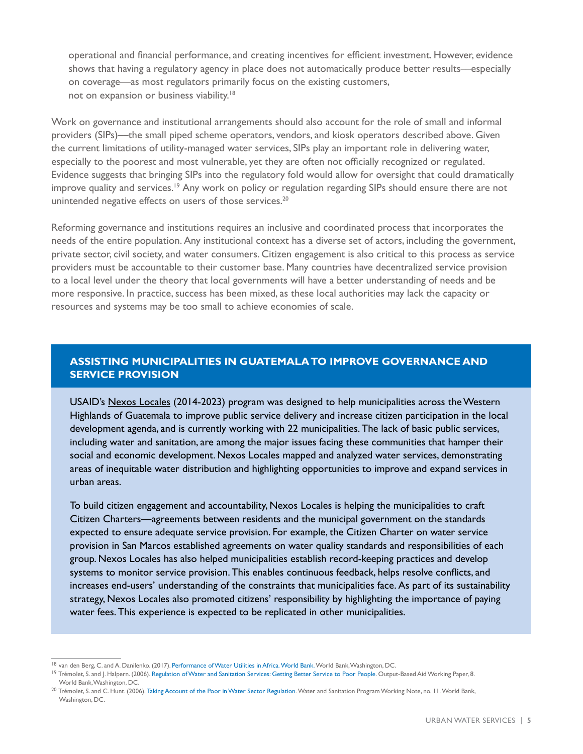operational and financial performance, and creating incentives for efficient investment. However, evidence shows that having a regulatory agency in place does not automatically produce better results––especially on coverage––as most regulators primarily focus on the existing customers, not on expansion or business viability.<sup>18</sup>

Work on governance and institutional arrangements should also account for the role of small and informal providers (SIPs)––the small piped scheme operators, vendors, and kiosk operators described above. Given the current limitations of utility-managed water services, SIPs play an important role in delivering water, especially to the poorest and most vulnerable, yet they are often not officially recognized or regulated. Evidence suggests that bringing SIPs into the regulatory fold would allow for oversight that could dramatically improve quality and services.<sup>19</sup> Any work on policy or regulation regarding SIPs should ensure there are not unintended negative effects on users of those services.<sup>20</sup>

Reforming governance and institutions requires an inclusive and coordinated process that incorporates the needs of the entire population. Any institutional context has a diverse set of actors, including the government, private sector, civil society, and water consumers. Citizen engagement is also critical to this process as service providers must be accountable to their customer base. Many countries have decentralized service provision to a local level under the theory that local governments will have a better understanding of needs and be more responsive. In practice, success has been mixed, as these local authorities may lack the capacity or resources and systems may be too small to achieve economies of scale.

## **ASSISTING MUNICIPALITIES IN GUATEMALA TO IMPROVE GOVERNANCE AND SERVICE PROVISION**

USAID's [Nexos Locales](https://nexoslocales.com/) (2014-2023) program was designed to help municipalities across the Western Highlands of Guatemala to improve public service delivery and increase citizen participation in the local development agenda, and is currently working with 22 municipalities. The lack of basic public services, including water and sanitation, are among the major issues facing these communities that hamper their social and economic development. Nexos Locales mapped and analyzed water services, demonstrating areas of inequitable water distribution and highlighting opportunities to improve and expand services in urban areas.

To build citizen engagement and accountability, Nexos Locales is helping the municipalities to craft Citizen Charters—agreements between residents and the municipal government on the standards expected to ensure adequate service provision. For example, the Citizen Charter on water service provision in San Marcos established agreements on water quality standards and responsibilities of each group. Nexos Locales has also helped municipalities establish record-keeping practices and develop systems to monitor service provision. This enables continuous feedback, helps resolve conflicts, and increases end-users' understanding of the constraints that municipalities face. As part of its sustainability strategy, Nexos Locales also promoted citizens' responsibility by highlighting the importance of paying water fees. This experience is expected to be replicated in other municipalities.

<sup>18</sup> van den Berg, C. and A. Danilenko. (2017). [Performance of Water Utilities in Africa. World Bank.](https://openknowledge.worldbank.org/handle/10986/26186) World Bank, Washington, DC.

<sup>&</sup>lt;sup>19</sup> Trémolet, S. and J. Halpern. (2006). [Regulation of Water and Sanitation Services: Getting Better Service to Poor People.](https://ppp.worldbank.org/public-private-partnership/library/regulation-water-and-sanitation-services-getting-better-service-poor-people) Output-Based Aid Working Paper, 8. World Bank, Washington, DC.

<sup>20</sup> Trémolet, S. and C. Hunt. (2006). [Taking Account of the Poor in Water Sector Regulation](http://regulationbodyofknowledge.org/wp-content/uploads/2013/03/Tremolet_Taking_into_Account.pdf). Water and Sanitation Program Working Note, no. 11. World Bank, Washington, DC.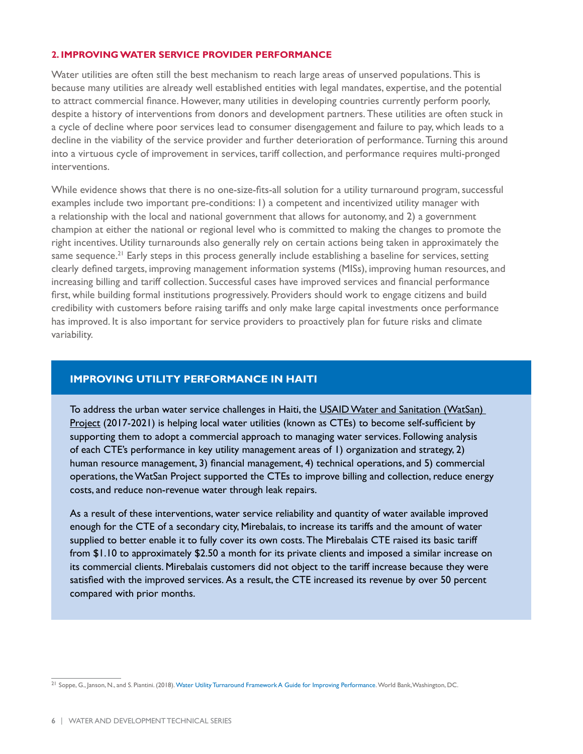## **2. IMPROVING WATER SERVICE PROVIDER PERFORMANCE**

Water utilities are often still the best mechanism to reach large areas of unserved populations. This is because many utilities are already well established entities with legal mandates, expertise, and the potential to attract commercial finance. However, many utilities in developing countries currently perform poorly, despite a history of interventions from donors and development partners. These utilities are often stuck in a cycle of decline where poor services lead to consumer disengagement and failure to pay, which leads to a decline in the viability of the service provider and further deterioration of performance. Turning this around into a virtuous cycle of improvement in services, tariff collection, and performance requires multi-pronged interventions.

While evidence shows that there is no one-size-fits-all solution for a utility turnaround program, successful examples include two important pre-conditions: 1) a competent and incentivized utility manager with a relationship with the local and national government that allows for autonomy, and 2) a government champion at either the national or regional level who is committed to making the changes to promote the right incentives. Utility turnarounds also generally rely on certain actions being taken in approximately the same sequence.<sup>21</sup> Early steps in this process generally include establishing a baseline for services, setting clearly defined targets, improving management information systems (MISs), improving human resources, and increasing billing and tariff collection. Successful cases have improved services and financial performance first, while building formal institutions progressively. Providers should work to engage citizens and build credibility with customers before raising tariffs and only make large capital investments once performance has improved. It is also important for service providers to proactively plan for future risks and climate variability.

## **IMPROVING UTILITY PERFORMANCE IN HAITI**

To address the urban water service challenges in Haiti, the USAID Water and Sanitation (WatSan) [Project](https://www.globalwaters.org/HowWeWork/Activities/haiti-water-and-sanitation-project) (2017-2021) is helping local water utilities (known as CTEs) to become self-sufficient by supporting them to adopt a commercial approach to managing water services. Following analysis of each CTE's performance in key utility management areas of 1) organization and strategy, 2) human resource management, 3) financial management, 4) technical operations, and 5) commercial operations, the WatSan Project supported the CTEs to improve billing and collection, reduce energy costs, and reduce non-revenue water through leak repairs.

As a result of these interventions, water service reliability and quantity of water available improved enough for the CTE of a secondary city, Mirebalais, to increase its tariffs and the amount of water supplied to better enable it to fully cover its own costs. The Mirebalais CTE raised its basic tariff from \$1.10 to approximately \$2.50 a month for its private clients and imposed a similar increase on its commercial clients. Mirebalais customers did not object to the tariff increase because they were satisfied with the improved services. As a result, the CTE increased its revenue by over 50 percent compared with prior months.

<sup>21</sup> Soppe, G., Janson, N., and S. Piantini. (2018). [Water Utility Turnaround Framework A Guide for Improving Performance.](http://documents1.worldbank.org/curated/en/515931542315166330/pdf/Water-Utility-Turnaround-Framework-A-Guide-for-Improving-Performance.pdf) World Bank, Washington, DC.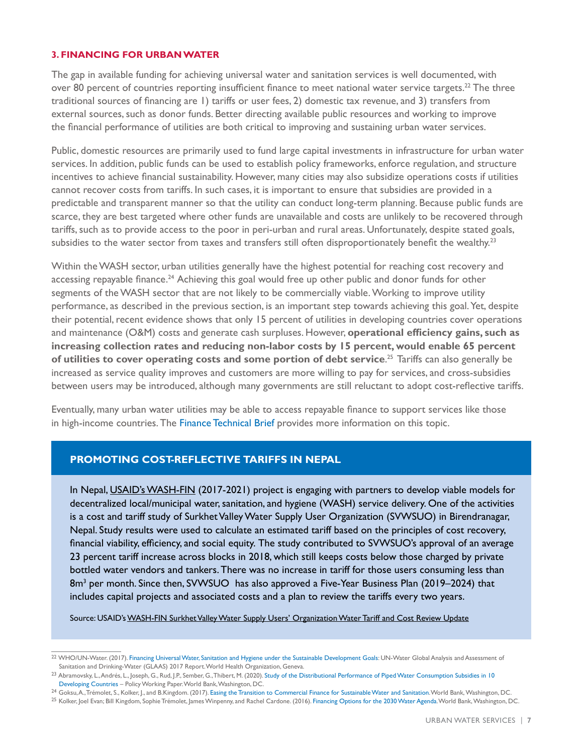#### **3. FINANCING FOR URBAN WATER**

The gap in available funding for achieving universal water and sanitation services is well documented, with over 80 percent of countries reporting insufficient finance to meet national water service targets.<sup>22</sup> The three traditional sources of financing are 1) tariffs or user fees, 2) domestic tax revenue, and 3) transfers from external sources, such as donor funds. Better directing available public resources and working to improve the financial performance of utilities are both critical to improving and sustaining urban water services.

Public, domestic resources are primarily used to fund large capital investments in infrastructure for urban water services. In addition, public funds can be used to establish policy frameworks, enforce regulation, and structure incentives to achieve financial sustainability. However, many cities may also subsidize operations costs if utilities cannot recover costs from tariffs. In such cases, it is important to ensure that subsidies are provided in a predictable and transparent manner so that the utility can conduct long-term planning. Because public funds are scarce, they are best targeted where other funds are unavailable and costs are unlikely to be recovered through tariffs, such as to provide access to the poor in peri-urban and rural areas. Unfortunately, despite stated goals, subsidies to the water sector from taxes and transfers still often disproportionately benefit the wealthy.<sup>23</sup>

Within the WASH sector, urban utilities generally have the highest potential for reaching cost recovery and accessing repayable finance.<sup>24</sup> Achieving this goal would free up other public and donor funds for other segments of the WASH sector that are not likely to be commercially viable. Working to improve utility performance, as described in the previous section, is an important step towards achieving this goal. Yet, despite their potential, recent evidence shows that only 15 percent of utilities in developing countries cover operations and maintenance (O&M) costs and generate cash surpluses. However, **operational efficiency gains, such as increasing collection rates and reducing non-labor costs by 15 percent, would enable 65 percent of utilities to cover operating costs and some portion of debt service**. 25 Tariffs can also generally be increased as service quality improves and customers are more willing to pay for services, and cross-subsidies between users may be introduced, although many governments are still reluctant to adopt cost-reflective tariffs.

Eventually, many urban water utilities may be able to access repayable finance to support services like those in high-income countries. The [Finance Technical Brief](https://www.globalwaters.org/water-and-development-technical-series) provides more information on this topic.

## **PROMOTING COST-REFLECTIVE TARIFFS IN NEPAL**

In Nepal, [USAID's WASH-FIN](https://www.globalwaters.org/wash-fin) (2017-2021) project is engaging with partners to develop viable models for decentralized local/municipal water, sanitation, and hygiene (WASH) service delivery. One of the activities is a cost and tariff study of Surkhet Valley Water Supply User Organization (SVWSUO) in Birendranagar, Nepal. Study results were used to calculate an estimated tariff based on the principles of cost recovery, financial viability, efficiency, and social equity. The study contributed to SVWSUO's approval of an average 23 percent tariff increase across blocks in 2018, which still keeps costs below those charged by private bottled water vendors and tankers. There was no increase in tariff for those users consuming less than 8m<sup>3</sup> per month. Since then, SVWSUO has also approved a Five-Year Business Plan (2019–2024) that includes capital projects and associated costs and a plan to review the tariffs every two years.

Source: USAID's [WASH-FIN Surkhet Valley Water Supply Users' Organization Water Tariff and Cost Review Update](https://www.globalwaters.org/resources/assets/wash-fin/svwsuo-water-tariff-and-cost-review)

<sup>22</sup> WHO/UN-Water. (2017). [Financing Universal Water, Sanitation and Hygiene under the Sustainable Development Goals](https://www.unwater.org/publications/un-water-glaas-2017-financing-universal-water-sanitation-hygiene-sustainable-development-goals/): UN-Water Global Analysis and Assessment of Sanitation and Drinking-Water (GLAAS) 2017 Report. World Health Organization, Geneva.

<sup>23</sup> Abramovsky, L., Andrés, L., Joseph, G., Rud, J.P., Sember, G., Thibert, M. (2020). [Study of the Distributional Performance of Piped Water Consumption Subsidies in 10](https://openknowledge.worldbank.org/handle/10986/33757)  [Developing Countries](https://openknowledge.worldbank.org/handle/10986/33757) – Policy Working Paper. World Bank, Washington, DC.

<sup>24</sup> Goksu, A., Trémolet, S., Kolker, J., and B.Kingdom. (2017). [Easing the Transition to Commercial Finance for Sustainable Water and Sanitation.](https://openknowledge.worldbank.org/handle/10986/27948) World Bank, Washington, DC.

<sup>&</sup>lt;sup>25</sup> Kolker, Joel Evan; Bill Kingdom, Sophie Trémolet, James Winpenny, and Rachel Cardone. (2016). [Financing Options for the 2030 Water Agenda.](https://openknowledge.worldbank.org/handle/10986/25495) World Bank, Washington, DC.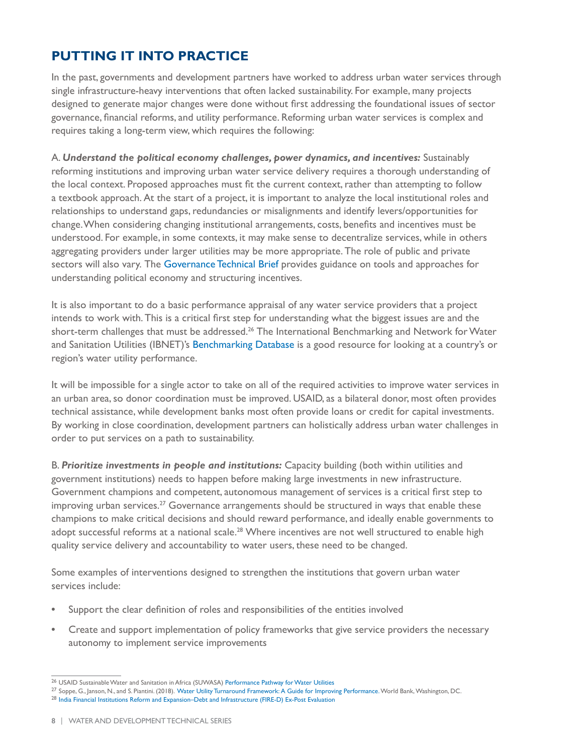# **PUTTING IT INTO PRACTICE**

In the past, governments and development partners have worked to address urban water services through single infrastructure-heavy interventions that often lacked sustainability. For example, many projects designed to generate major changes were done without first addressing the foundational issues of sector governance, financial reforms, and utility performance. Reforming urban water services is complex and requires taking a long-term view, which requires the following:

A. *Understand the political economy challenges, power dynamics, and incentives:* Sustainably reforming institutions and improving urban water service delivery requires a thorough understanding of the local context. Proposed approaches must fit the current context, rather than attempting to follow a textbook approach. At the start of a project, it is important to analyze the local institutional roles and relationships to understand gaps, redundancies or misalignments and identify levers/opportunities for change. When considering changing institutional arrangements, costs, benefits and incentives must be understood. For example, in some contexts, it may make sense to decentralize services, while in others aggregating providers under larger utilities may be more appropriate. The role of public and private sectors will also vary. The [Governance Technical Brief](https://www.globalwaters.org/water-and-development-technical-series) provides guidance on tools and approaches for understanding political economy and structuring incentives.

It is also important to do a basic performance appraisal of any water service providers that a project intends to work with. This is a critical first step for understanding what the biggest issues are and the short-term challenges that must be addressed.<sup>26</sup> The International Benchmarking and Network for Water and Sanitation Utilities (IBNET)'s [Benchmarking Database](https://database.ib-net.org/DefaultNew.aspx) is a good resource for looking at a country's or region's water utility performance.

It will be impossible for a single actor to take on all of the required activities to improve water services in an urban area, so donor coordination must be improved. USAID, as a bilateral donor, most often provides technical assistance, while development banks most often provide loans or credit for capital investments. By working in close coordination, development partners can holistically address urban water challenges in order to put services on a path to sustainability.

B. *Prioritize investments in people and institutions:* Capacity building (both within utilities and government institutions) needs to happen before making large investments in new infrastructure. Government champions and competent, autonomous management of services is a critical first step to improving urban services.<sup>27</sup> Governance arrangements should be structured in ways that enable these champions to make critical decisions and should reward performance, and ideally enable governments to adopt successful reforms at a national scale.<sup>28</sup> Where incentives are not well structured to enable high quality service delivery and accountability to water users, these need to be changed.

Some examples of interventions designed to strengthen the institutions that govern urban water services include:

- **•** Support the clear definition of roles and responsibilities of the entities involved
- **•** Create and support implementation of policy frameworks that give service providers the necessary autonomy to implement service improvements

<sup>26</sup> USAID Sustainable Water and Sanitation in Africa (SUWASA) [Performance Pathway for Water Utilities](http://www.tetratech.com/en/docs/pd14-120-en-sustainable-water-and-sanitation-water.pdf)

<sup>27</sup> Soppe, G., Janson, N., and S. Piantini. (2018). [Water Utility Turnaround Framework: A Guide for Improving Performance.](http://documents1.worldbank.org/curated/en/515931542315166330/pdf/Water-Utility-Turnaround-Framework-A-Guide-for-Improving-Performance.pdf) World Bank, Washington, DC.

<sup>28</sup> [India Financial Institutions Reform and Expansion–Debt and Infrastructure \(FIRE-D\) Ex-Post Evaluation](https://www.globalwaters.org/resources/assets/india-financial-institutions-reform-and-expansion-debt-and-infrastructure-fire-d)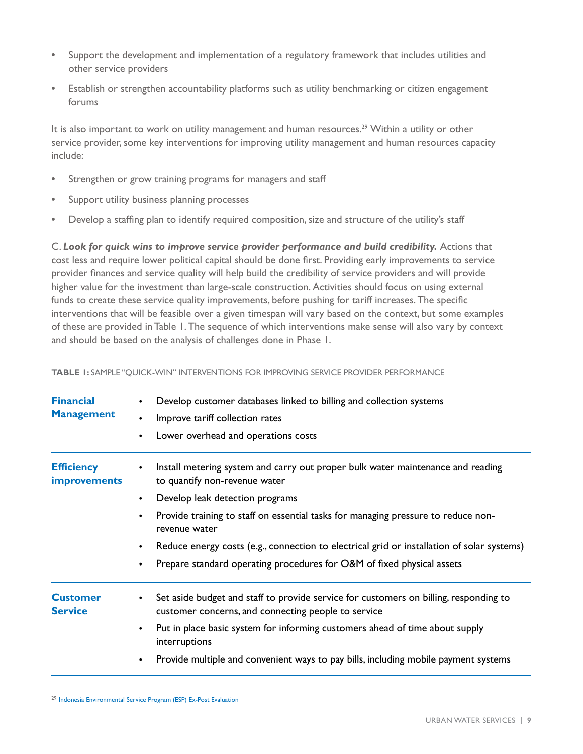- **•** Support the development and implementation of a regulatory framework that includes utilities and other service providers
- **•** Establish or strengthen accountability platforms such as utility benchmarking or citizen engagement forums

It is also important to work on utility management and human resources.<sup>29</sup> Within a utility or other service provider, some key interventions for improving utility management and human resources capacity include:

- **•** Strengthen or grow training programs for managers and staff
- **•** Support utility business planning processes
- **•** Develop a staffing plan to identify required composition, size and structure of the utility's staff

C. *Look for quick wins to improve service provider performance and build credibility.* Actions that cost less and require lower political capital should be done first. Providing early improvements to service provider finances and service quality will help build the credibility of service providers and will provide higher value for the investment than large-scale construction. Activities should focus on using external funds to create these service quality improvements, before pushing for tariff increases. The specific interventions that will be feasible over a given timespan will vary based on the context, but some examples of these are provided in Table 1. The sequence of which interventions make sense will also vary by context and should be based on the analysis of challenges done in Phase 1.

| Develop customer databases linked to billing and collection systems<br>Improve tariff collection rates<br>Lower overhead and operations costs |
|-----------------------------------------------------------------------------------------------------------------------------------------------|
| Install metering system and carry out proper bulk water maintenance and reading<br>to quantify non-revenue water                              |
| Develop leak detection programs<br>Provide training to staff on essential tasks for managing pressure to reduce non-<br>revenue water         |
| Reduce energy costs (e.g., connection to electrical grid or installation of solar systems)                                                    |
| Prepare standard operating procedures for O&M of fixed physical assets                                                                        |
| Set aside budget and staff to provide service for customers on billing, responding to<br>customer concerns, and connecting people to service  |
| Put in place basic system for informing customers ahead of time about supply<br>interruptions                                                 |
| Provide multiple and convenient ways to pay bills, including mobile payment systems                                                           |
|                                                                                                                                               |

**TABLE 1:** SAMPLE "QUICK-WIN" INTERVENTIONS FOR IMPROVING SERVICE PROVIDER PERFORMANCE

29 [Indonesia Environmental Service Program \(ESP\) Ex-Post Evaluation](https://www.globalwaters.org/resources/assets/indonesia-environmental-service-program-esp-ex-post-evaluation)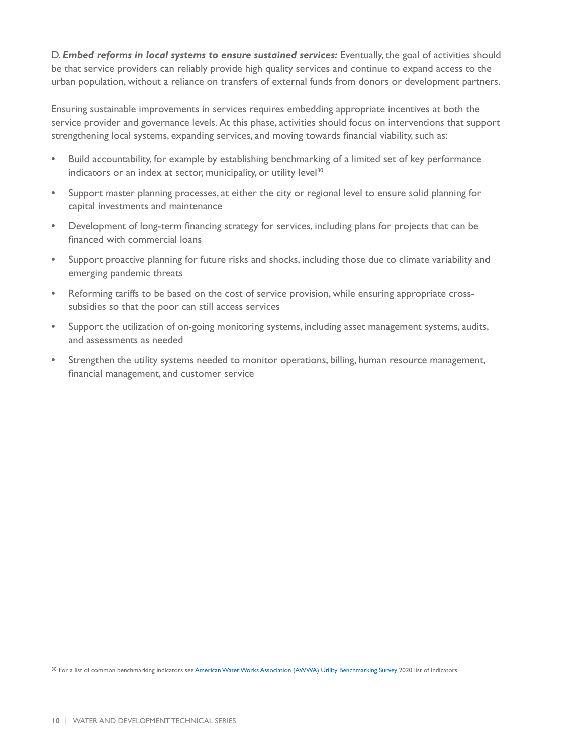D. *Embed reforms in local systems to ensure sustained services:* Eventually, the goal of activities should be that service providers can reliably provide high quality services and continue to expand access to the urban population, without a reliance on transfers of external funds from donors or development partners.

Ensuring sustainable improvements in services requires embedding appropriate incentives at both the service provider and governance levels. At this phase, activities should focus on interventions that support strengthening local systems, expanding services, and moving towards financial viability, such as:

- **•** Build accountability, for example by establishing benchmarking of a limited set of key performance indicators or an index at sector, municipality, or utility level<sup>30</sup>
- **•** Support master planning processes, at either the city or regional level to ensure solid planning for capital investments and maintenance
- **•** Development of long-term financing strategy for services, including plans for projects that can be financed with commercial loans
- **•** Support proactive planning for future risks and shocks, including those due to climate variability and emerging pandemic threats
- **•** Reforming tariffs to be based on the cost of service provision, while ensuring appropriate crosssubsidies so that the poor can still access services
- **•** Support the utilization of on-going monitoring systems, including asset management systems, audits, and assessments as needed
- **•** Strengthen the utility systems needed to monitor operations, billing, human resource management, financial management, and customer service

<sup>&</sup>lt;sup>30</sup> For a list of common benchmarking indicators see [American Water Works Association \(AWWA\) Utility Benchmarking Survey](https://www.awwa.org/Portals/0/AWWA/ETS/Programs/Benchmarking/Utility%20Benchmarking%20PIs_2020.pdf?ver=2020-01-07-075536-777) 2020 list of indicators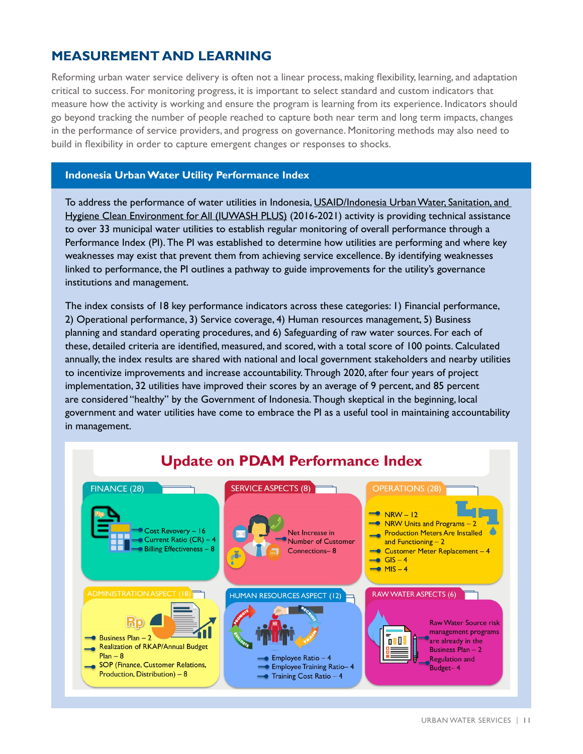# **MEASUREMENT AND LEARNING**

Reforming urban water service delivery is often not a linear process, making flexibility, learning, and adaptation critical to success. For monitoring progress, it is important to select standard and custom indicators that measure how the activity is working and ensure the program is learning from its experience. Indicators should go beyond tracking the number of people reached to capture both near term and long term impacts, changes in the performance of service providers, and progress on governance. Monitoring methods may also need to build in flexibility in order to capture emergent changes or responses to shocks.

## **Indonesia Urban Water Utility Performance Index**

To address the performance of water utilities in Indonesia, [USAID/Indonesia Urban Water, Sanitation, and](https://www.iuwashplus.or.id/?lang=en)  [Hygiene Clean Environment for All \(IUWASH PLUS\)](https://www.iuwashplus.or.id/?lang=en) (2016-2021) activity is providing technical assistance to over 33 municipal water utilities to establish regular monitoring of overall performance through a Performance Index (PI). The PI was established to determine how utilities are performing and where key weaknesses may exist that prevent them from achieving service excellence. By identifying weaknesses linked to performance, the PI outlines a pathway to guide improvements for the utility's governance institutions and management.

The index consists of 18 key performance indicators across these categories: 1) Financial performance, 2) Operational performance, 3) Service coverage, 4) Human resources management, 5) Business planning and standard operating procedures, and 6) Safeguarding of raw water sources. For each of these, detailed criteria are identified, measured, and scored, with a total score of 100 points. Calculated annually, the index results are shared with national and local government stakeholders and nearby utilities to incentivize improvements and increase accountability. Through 2020, after four years of project implementation, 32 utilities have improved their scores by an average of 9 percent, and 85 percent are considered "healthy" by the Government of Indonesia. Though skeptical in the beginning, local government and water utilities have come to embrace the PI as a useful tool in maintaining accountability in management.